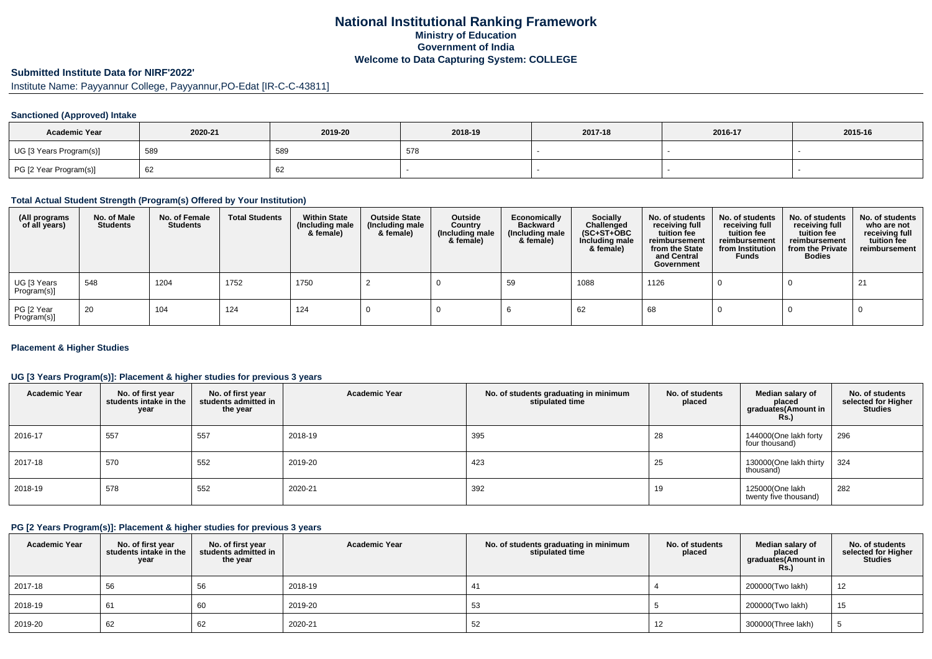# **National Institutional Ranking FrameworkMinistry of Education Government of IndiaWelcome to Data Capturing System: COLLEGE**

# **Submitted Institute Data for NIRF'2022'**

Institute Name: Payyannur College, Payyannur,PO-Edat [IR-C-C-43811]

#### **Sanctioned (Approved) Intake**

| <b>Academic Year</b>    | 2020-21 | 2019-20      | 2018-19 | 2017-18 | 2016-17 | 2015-16 |
|-------------------------|---------|--------------|---------|---------|---------|---------|
| UG [3 Years Program(s)] | 589     | 589          | 578     |         |         |         |
| PG [2 Year Program(s)]  | 62      | $\sim$<br>o∠ |         |         |         |         |

### **Total Actual Student Strength (Program(s) Offered by Your Institution)**

| (All programs<br>of all years) | No. of Male<br><b>Students</b> | No. of Female<br><b>Students</b> | <b>Total Students</b> | <b>Within State</b><br>(Including male<br>& female) | <b>Outside State</b><br>(Including male<br>& female) | Outside<br>Country<br>(Including male<br>& female) | Economically<br><b>Backward</b><br>(Including male<br>& female) | <b>Socially</b><br>Challenged<br>$(SC+ST+OBC)$<br>Including male<br>& female) | No. of students<br>receiving full<br>tuition fee<br>reimbursement<br>from the State<br>and Central<br>Government | No. of students<br>receiving full<br>tuition fee<br>reimbursement<br>from Institution<br><b>Funds</b> | No. of students<br>receiving full<br>tuition fee<br>reimbursement<br>from the Private<br><b>Bodies</b> | No. of students<br>who are not<br>receiving full<br>tuition fee<br>reimbursement |
|--------------------------------|--------------------------------|----------------------------------|-----------------------|-----------------------------------------------------|------------------------------------------------------|----------------------------------------------------|-----------------------------------------------------------------|-------------------------------------------------------------------------------|------------------------------------------------------------------------------------------------------------------|-------------------------------------------------------------------------------------------------------|--------------------------------------------------------------------------------------------------------|----------------------------------------------------------------------------------|
| UG [3 Years<br>Program(s)]     | 548                            | 1204                             | 1752                  | 1750                                                |                                                      |                                                    | 59                                                              | 1088                                                                          | 1126                                                                                                             |                                                                                                       |                                                                                                        | -21                                                                              |
| PG [2 Year<br>Program(s)]      | -20                            | 104                              | 124                   | 124                                                 |                                                      |                                                    |                                                                 | 62                                                                            | 68                                                                                                               |                                                                                                       |                                                                                                        |                                                                                  |

#### **Placement & Higher Studies**

#### **UG [3 Years Program(s)]: Placement & higher studies for previous 3 years**

| <b>Academic Year</b> | No. of first year<br>students intake in the<br>year | No. of first year<br>students admitted in<br>the year | <b>Academic Year</b> | No. of students graduating in minimum<br>stipulated time | No. of students<br>placed | Median salary of<br>placed<br>graduates(Amount in<br><b>Rs.)</b> | No. of students<br>selected for Higher<br><b>Studies</b> |
|----------------------|-----------------------------------------------------|-------------------------------------------------------|----------------------|----------------------------------------------------------|---------------------------|------------------------------------------------------------------|----------------------------------------------------------|
| 2016-17              | 557                                                 | 557                                                   | 2018-19              | 395                                                      | 28                        | 144000(One lakh forty<br>four thousand)                          | 296                                                      |
| 2017-18              | 570                                                 | 552                                                   | 2019-20              | 423                                                      | 25                        | 130000(One lakh thirty<br>thousand)                              | 324                                                      |
| 2018-19              | 578                                                 | 552                                                   | 2020-21              | 392                                                      | 19                        | 125000(One lakh<br>twenty five thousand)                         | 282                                                      |

### **PG [2 Years Program(s)]: Placement & higher studies for previous 3 years**

| <b>Academic Year</b> | No. of first year<br>students intake in the<br>year | No. of first vear<br>students admitted in<br>the year | <b>Academic Year</b> | No. of students graduating in minimum<br>stipulated time | No. of students<br>placed | Median salary of<br>placed<br>graduates(Amount in<br><b>Rs.)</b> | No. of students<br>selected for Higher<br><b>Studies</b> |
|----------------------|-----------------------------------------------------|-------------------------------------------------------|----------------------|----------------------------------------------------------|---------------------------|------------------------------------------------------------------|----------------------------------------------------------|
| 2017-18              | 56                                                  | 56                                                    | 2018-19              | 41                                                       |                           | 200000(Two lakh)                                                 | 12                                                       |
| 2018-19              | 61                                                  | 60                                                    | 2019-20              | 53                                                       |                           | 200000(Two lakh)                                                 | 15                                                       |
| 2019-20              | 62                                                  | 62                                                    | 2020-21              | 52                                                       | 12                        | 300000(Three lakh)                                               |                                                          |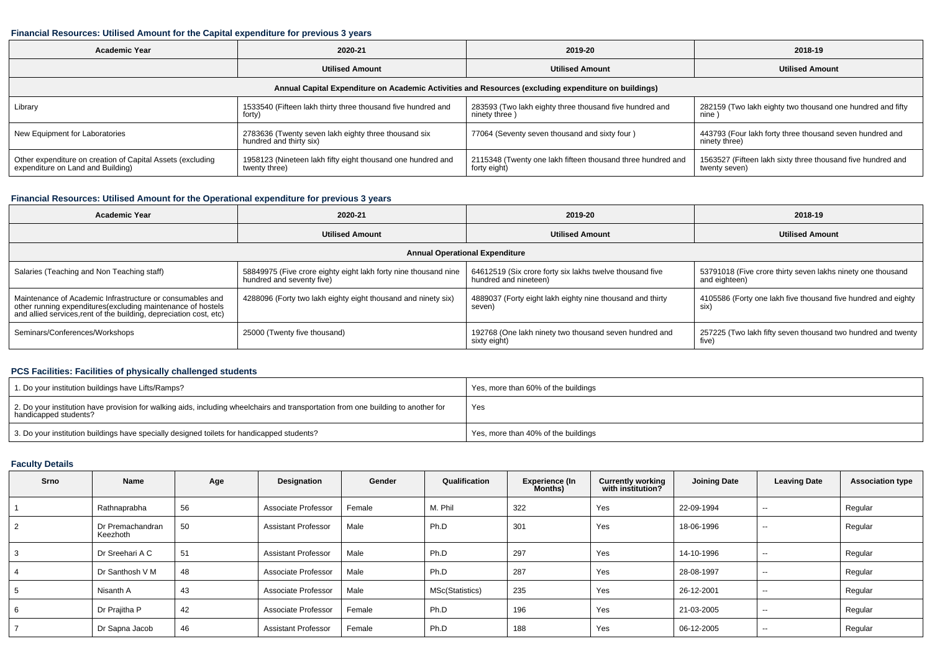#### **Financial Resources: Utilised Amount for the Capital expenditure for previous 3 years**

| <b>Academic Year</b>                                                                            | 2020-21                                                                         | 2019-20                                                                                              | 2018-19                                                                      |  |
|-------------------------------------------------------------------------------------------------|---------------------------------------------------------------------------------|------------------------------------------------------------------------------------------------------|------------------------------------------------------------------------------|--|
|                                                                                                 | <b>Utilised Amount</b>                                                          | <b>Utilised Amount</b>                                                                               | <b>Utilised Amount</b>                                                       |  |
|                                                                                                 |                                                                                 | Annual Capital Expenditure on Academic Activities and Resources (excluding expenditure on buildings) |                                                                              |  |
| Library                                                                                         | 1533540 (Fifteen lakh thirty three thousand five hundred and<br>forty)          | 283593 (Two lakh eighty three thousand five hundred and<br>ninety three)                             | 282159 (Two lakh eighty two thousand one hundred and fifty<br>nine           |  |
| New Equipment for Laboratories                                                                  | 2783636 (Twenty seven lakh eighty three thousand six<br>hundred and thirty six) | 77064 (Seventy seven thousand and sixty four)                                                        | 443793 (Four lakh forty three thousand seven hundred and<br>ninety three)    |  |
| Other expenditure on creation of Capital Assets (excluding<br>expenditure on Land and Building) | 1958123 (Nineteen lakh fifty eight thousand one hundred and<br>twenty three)    | 2115348 (Twenty one lakh fifteen thousand three hundred and<br>forty eight)                          | 1563527 (Fifteen lakh sixty three thousand five hundred and<br>twenty seven) |  |

## **Financial Resources: Utilised Amount for the Operational expenditure for previous 3 years**

| <b>Academic Year</b>                                                                                                                                                                            | 2020-21                                                                                      | 2019-20                                                                           | 2018-19                                                                      |  |  |  |  |  |  |  |
|-------------------------------------------------------------------------------------------------------------------------------------------------------------------------------------------------|----------------------------------------------------------------------------------------------|-----------------------------------------------------------------------------------|------------------------------------------------------------------------------|--|--|--|--|--|--|--|
|                                                                                                                                                                                                 | <b>Utilised Amount</b>                                                                       | <b>Utilised Amount</b>                                                            | <b>Utilised Amount</b>                                                       |  |  |  |  |  |  |  |
| <b>Annual Operational Expenditure</b>                                                                                                                                                           |                                                                                              |                                                                                   |                                                                              |  |  |  |  |  |  |  |
| Salaries (Teaching and Non Teaching staff)                                                                                                                                                      | 58849975 (Five crore eighty eight lakh forty nine thousand nine<br>hundred and seventy five) | 64612519 (Six crore forty six lakhs twelve thousand five<br>hundred and nineteen) | 53791018 (Five crore thirty seven lakhs ninety one thousand<br>and eighteen) |  |  |  |  |  |  |  |
| Maintenance of Academic Infrastructure or consumables and<br>other running expenditures (excluding maintenance of hostels<br>and allied services, rent of the building, depreciation cost, etc) | 4288096 (Forty two lakh eighty eight thousand and ninety six)                                | 4889037 (Forty eight lakh eighty nine thousand and thirty<br>seven)               | 4105586 (Forty one lakh five thousand five hundred and eighty<br>six)        |  |  |  |  |  |  |  |
| Seminars/Conferences/Workshops                                                                                                                                                                  | 25000 (Twenty five thousand)                                                                 | 192768 (One lakh ninety two thousand seven hundred and<br>sixty eight)            | 257225 (Two lakh fifty seven thousand two hundred and twenty<br>five)        |  |  |  |  |  |  |  |

### **PCS Facilities: Facilities of physically challenged students**

| 1. Do your institution buildings have Lifts/Ramps?                                                                                                         | Yes, more than 60% of the buildings |
|------------------------------------------------------------------------------------------------------------------------------------------------------------|-------------------------------------|
| 2. Do your institution have provision for walking aids, including wheelchairs and transportation from one building to another for<br>handicapped students? | Yes                                 |
| 3. Do your institution buildings have specially designed toilets for handicapped students?                                                                 | Yes, more than 40% of the buildings |

## **Faculty Details**

| Srno           | Name                         | Age | Designation                | Gender | Qualification   | <b>Experience (In</b><br>Months) | <b>Currently working</b><br>with institution? | <b>Joining Date</b> | <b>Leaving Date</b>      | <b>Association type</b> |
|----------------|------------------------------|-----|----------------------------|--------|-----------------|----------------------------------|-----------------------------------------------|---------------------|--------------------------|-------------------------|
|                | Rathnaprabha                 | 56  | Associate Professor        | Female | M. Phil         | 322                              | Yes                                           | 22-09-1994          | $\sim$                   | Regular                 |
| $\overline{2}$ | Dr Premachandran<br>Keezhoth | 50  | <b>Assistant Professor</b> | Male   | Ph.D            | 301                              | Yes                                           | 18-06-1996          | $- -$                    | Regular                 |
| 3              | Dr Sreehari A C              | 51  | <b>Assistant Professor</b> | Male   | Ph.D            | 297                              | Yes                                           | 14-10-1996          | $\sim$ $\sim$            | Regular                 |
| 4              | Dr Santhosh V M              | 48  | Associate Professor        | Male   | Ph.D            | 287                              | Yes                                           | 28-08-1997          | $- -$                    | Regular                 |
| 5              | Nisanth A                    | 43  | Associate Professor        | Male   | MSc(Statistics) | 235                              | Yes                                           | 26-12-2001          | $\sim$ $\sim$            | Regular                 |
| 6              | Dr Prajitha P                | 42  | Associate Professor        | Female | Ph.D            | 196                              | Yes                                           | 21-03-2005          | $\overline{\phantom{a}}$ | Regular                 |
|                | Dr Sapna Jacob               | 46  | <b>Assistant Professor</b> | Female | Ph.D            | 188                              | Yes                                           | 06-12-2005          | $- -$                    | Regular                 |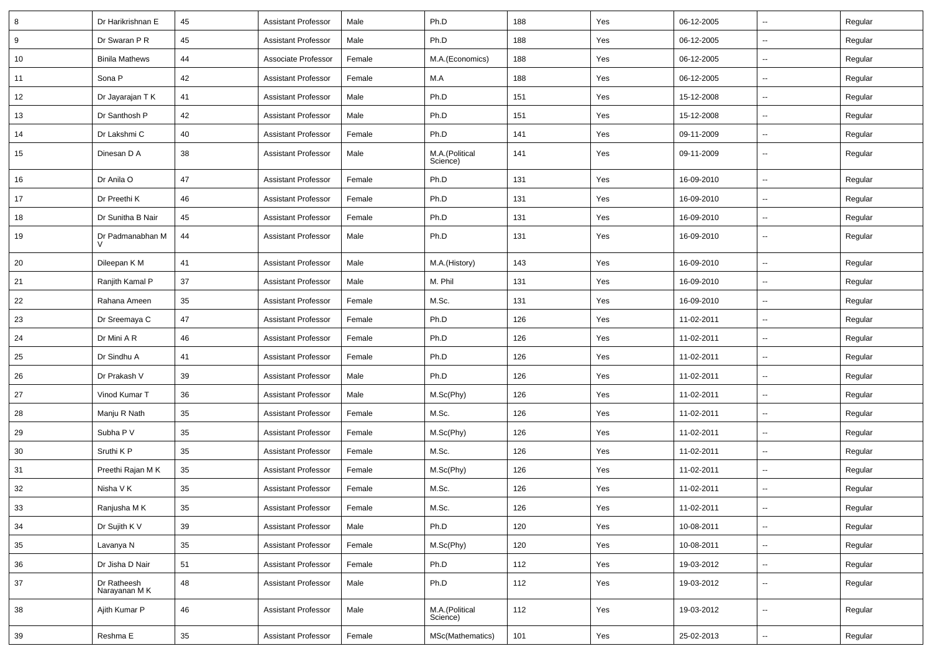| 8  | Dr Harikrishnan E           | 45 | <b>Assistant Professor</b> | Male   | Ph.D                       | 188 | Yes | 06-12-2005 | $\sim$                   | Regular |
|----|-----------------------------|----|----------------------------|--------|----------------------------|-----|-----|------------|--------------------------|---------|
| 9  | Dr Swaran P R               | 45 | <b>Assistant Professor</b> | Male   | Ph.D                       | 188 | Yes | 06-12-2005 | $\sim$                   | Regular |
| 10 | <b>Binila Mathews</b>       | 44 | Associate Professor        | Female | M.A.(Economics)            | 188 | Yes | 06-12-2005 | $\sim$                   | Regular |
| 11 | Sona P                      | 42 | <b>Assistant Professor</b> | Female | M.A                        | 188 | Yes | 06-12-2005 | $\overline{\phantom{a}}$ | Regular |
| 12 | Dr Jayarajan T K            | 41 | <b>Assistant Professor</b> | Male   | Ph.D                       | 151 | Yes | 15-12-2008 | $\sim$                   | Regular |
| 13 | Dr Santhosh P               | 42 | <b>Assistant Professor</b> | Male   | Ph.D                       | 151 | Yes | 15-12-2008 | $\sim$                   | Regular |
| 14 | Dr Lakshmi C                | 40 | <b>Assistant Professor</b> | Female | Ph.D                       | 141 | Yes | 09-11-2009 | $\sim$                   | Regular |
| 15 | Dinesan D A                 | 38 | <b>Assistant Professor</b> | Male   | M.A.(Political<br>Science) | 141 | Yes | 09-11-2009 | $\sim$                   | Regular |
| 16 | Dr Anila O                  | 47 | <b>Assistant Professor</b> | Female | Ph.D                       | 131 | Yes | 16-09-2010 | $\sim$                   | Regular |
| 17 | Dr Preethi K                | 46 | Assistant Professor        | Female | Ph.D                       | 131 | Yes | 16-09-2010 | $\sim$                   | Regular |
| 18 | Dr Sunitha B Nair           | 45 | <b>Assistant Professor</b> | Female | Ph.D                       | 131 | Yes | 16-09-2010 | $\sim$                   | Regular |
| 19 | Dr Padmanabhan M            | 44 | <b>Assistant Professor</b> | Male   | Ph.D                       | 131 | Yes | 16-09-2010 | $\sim$                   | Regular |
| 20 | Dileepan K M                | 41 | <b>Assistant Professor</b> | Male   | M.A.(History)              | 143 | Yes | 16-09-2010 | $\sim$                   | Regular |
| 21 | Ranjith Kamal P             | 37 | Assistant Professor        | Male   | M. Phil                    | 131 | Yes | 16-09-2010 | $\sim$                   | Regular |
| 22 | Rahana Ameen                | 35 | <b>Assistant Professor</b> | Female | M.Sc.                      | 131 | Yes | 16-09-2010 | $\overline{\phantom{a}}$ | Regular |
| 23 | Dr Sreemaya C               | 47 | <b>Assistant Professor</b> | Female | Ph.D                       | 126 | Yes | 11-02-2011 | $\sim$                   | Regular |
| 24 | Dr Mini A R                 | 46 | <b>Assistant Professor</b> | Female | Ph.D                       | 126 | Yes | 11-02-2011 | $\sim$                   | Regular |
| 25 | Dr Sindhu A                 | 41 | <b>Assistant Professor</b> | Female | Ph.D                       | 126 | Yes | 11-02-2011 | $\overline{\phantom{a}}$ | Regular |
| 26 | Dr Prakash V                | 39 | <b>Assistant Professor</b> | Male   | Ph.D                       | 126 | Yes | 11-02-2011 | $\sim$                   | Regular |
| 27 | Vinod Kumar T               | 36 | <b>Assistant Professor</b> | Male   | M.Sc(Phy)                  | 126 | Yes | 11-02-2011 | $\sim$                   | Regular |
| 28 | Manju R Nath                | 35 | <b>Assistant Professor</b> | Female | M.Sc.                      | 126 | Yes | 11-02-2011 | $\sim$                   | Regular |
| 29 | Subha P V                   | 35 | <b>Assistant Professor</b> | Female | M.Sc(Phy)                  | 126 | Yes | 11-02-2011 | $\sim$                   | Regular |
| 30 | Sruthi K P                  | 35 | <b>Assistant Professor</b> | Female | M.Sc.                      | 126 | Yes | 11-02-2011 | $\sim$                   | Regular |
| 31 | Preethi Rajan M K           | 35 | <b>Assistant Professor</b> | Female | M.Sc(Phy)                  | 126 | Yes | 11-02-2011 |                          | Regular |
| 32 | Nisha V K                   | 35 | <b>Assistant Professor</b> | Female | M.Sc.                      | 126 | Yes | 11-02-2011 | $\sim$                   | Regular |
| 33 | Ranjusha MK                 | 35 | Assistant Professor        | Female | M.Sc.                      | 126 | Yes | 11-02-2011 |                          | Regular |
| 34 | Dr Sujith K V               | 39 | Assistant Professor        | Male   | Ph.D                       | 120 | Yes | 10-08-2011 | $\sim$                   | Regular |
| 35 | Lavanya N                   | 35 | <b>Assistant Professor</b> | Female | M.Sc(Phy)                  | 120 | Yes | 10-08-2011 | $\sim$                   | Regular |
| 36 | Dr Jisha D Nair             | 51 | Assistant Professor        | Female | Ph.D                       | 112 | Yes | 19-03-2012 | $\sim$                   | Regular |
| 37 | Dr Ratheesh<br>Narayanan MK | 48 | <b>Assistant Professor</b> | Male   | Ph.D                       | 112 | Yes | 19-03-2012 | $\sim$                   | Regular |
| 38 | Ajith Kumar P               | 46 | <b>Assistant Professor</b> | Male   | M.A.(Political<br>Science) | 112 | Yes | 19-03-2012 | $\sim$                   | Regular |
| 39 | Reshma E                    | 35 | Assistant Professor        | Female | MSc(Mathematics)           | 101 | Yes | 25-02-2013 | Щ,                       | Regular |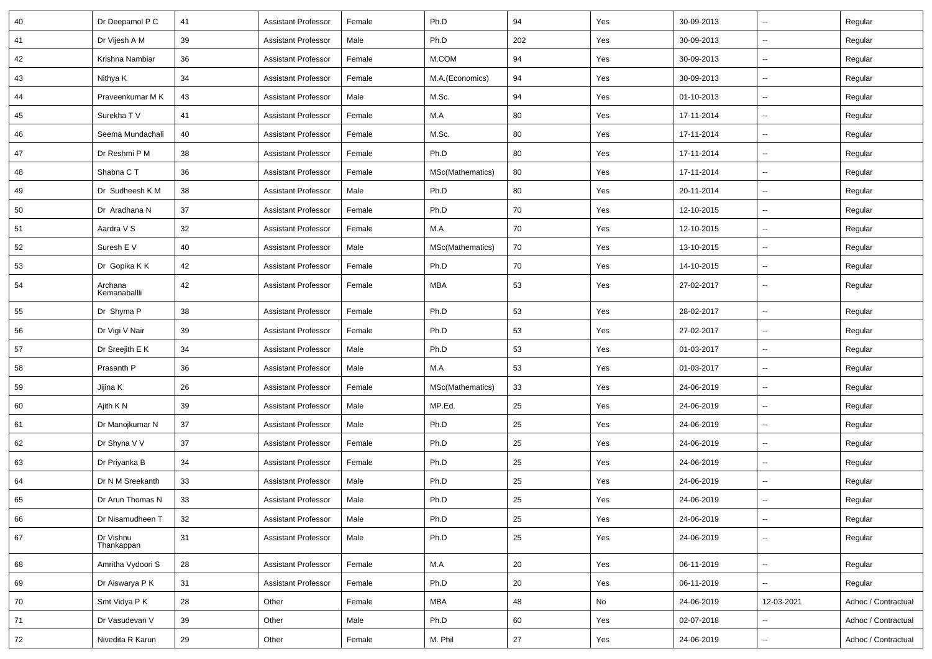| 40 | Dr Deepamol P C         | 41 | <b>Assistant Professor</b> | Female | Ph.D             | 94  | Yes | 30-09-2013 | $\sim$                   | Regular             |
|----|-------------------------|----|----------------------------|--------|------------------|-----|-----|------------|--------------------------|---------------------|
| 41 | Dr Vijesh A M           | 39 | <b>Assistant Professor</b> | Male   | Ph.D             | 202 | Yes | 30-09-2013 | $\sim$                   | Regular             |
| 42 | Krishna Nambiar         | 36 | <b>Assistant Professor</b> | Female | M.COM            | 94  | Yes | 30-09-2013 | $\sim$                   | Regular             |
| 43 | Nithya K                | 34 | <b>Assistant Professor</b> | Female | M.A.(Economics)  | 94  | Yes | 30-09-2013 | $\sim$                   | Regular             |
| 44 | Praveenkumar M K        | 43 | <b>Assistant Professor</b> | Male   | M.Sc.            | 94  | Yes | 01-10-2013 | $\overline{\phantom{a}}$ | Regular             |
| 45 | Surekha TV              | 41 | <b>Assistant Professor</b> | Female | M.A              | 80  | Yes | 17-11-2014 | $\overline{\phantom{a}}$ | Regular             |
| 46 | Seema Mundachali        | 40 | <b>Assistant Professor</b> | Female | M.Sc.            | 80  | Yes | 17-11-2014 | $\sim$                   | Regular             |
| 47 | Dr Reshmi P M           | 38 | <b>Assistant Professor</b> | Female | Ph.D             | 80  | Yes | 17-11-2014 | $\sim$                   | Regular             |
| 48 | Shabna C T              | 36 | <b>Assistant Professor</b> | Female | MSc(Mathematics) | 80  | Yes | 17-11-2014 | $\sim$                   | Regular             |
| 49 | Dr Sudheesh K M         | 38 | <b>Assistant Professor</b> | Male   | Ph.D             | 80  | Yes | 20-11-2014 | $\sim$                   | Regular             |
| 50 | Dr Aradhana N           | 37 | <b>Assistant Professor</b> | Female | Ph.D             | 70  | Yes | 12-10-2015 | $\overline{\phantom{a}}$ | Regular             |
| 51 | Aardra V S              | 32 | <b>Assistant Professor</b> | Female | M.A              | 70  | Yes | 12-10-2015 | $\sim$                   | Regular             |
| 52 | Suresh E V              | 40 | <b>Assistant Professor</b> | Male   | MSc(Mathematics) | 70  | Yes | 13-10-2015 | $\sim$                   | Regular             |
| 53 | Dr Gopika K K           | 42 | <b>Assistant Professor</b> | Female | Ph.D             | 70  | Yes | 14-10-2015 | $\sim$                   | Regular             |
| 54 | Archana<br>Kemanaballli | 42 | <b>Assistant Professor</b> | Female | <b>MBA</b>       | 53  | Yes | 27-02-2017 | $\sim$                   | Regular             |
| 55 | Dr Shyma P              | 38 | <b>Assistant Professor</b> | Female | Ph.D             | 53  | Yes | 28-02-2017 | $\overline{\phantom{a}}$ | Regular             |
| 56 | Dr Vigi V Nair          | 39 | <b>Assistant Professor</b> | Female | Ph.D             | 53  | Yes | 27-02-2017 | $\sim$                   | Regular             |
| 57 | Dr Sreejith E K         | 34 | <b>Assistant Professor</b> | Male   | Ph.D             | 53  | Yes | 01-03-2017 | $\overline{\phantom{a}}$ | Regular             |
| 58 | Prasanth P              | 36 | <b>Assistant Professor</b> | Male   | M.A              | 53  | Yes | 01-03-2017 | --                       | Regular             |
| 59 | Jijina K                | 26 | <b>Assistant Professor</b> | Female | MSc(Mathematics) | 33  | Yes | 24-06-2019 | $\overline{\phantom{a}}$ | Regular             |
| 60 | Ajith K N               | 39 | <b>Assistant Professor</b> | Male   | MP.Ed.           | 25  | Yes | 24-06-2019 | $\sim$                   | Regular             |
| 61 | Dr Manojkumar N         | 37 | <b>Assistant Professor</b> | Male   | Ph.D             | 25  | Yes | 24-06-2019 | $\sim$                   | Regular             |
| 62 | Dr Shyna V V            | 37 | <b>Assistant Professor</b> | Female | Ph.D             | 25  | Yes | 24-06-2019 | $\sim$                   | Regular             |
| 63 | Dr Priyanka B           | 34 | <b>Assistant Professor</b> | Female | Ph.D             | 25  | Yes | 24-06-2019 | $\overline{\phantom{a}}$ | Regular             |
| 64 | Dr N M Sreekanth        | 33 | <b>Assistant Professor</b> | Male   | Ph.D             | 25  | Yes | 24-06-2019 | --                       | Regular             |
| 65 | Dr Arun Thomas N        | 33 | <b>Assistant Professor</b> | Male   | Ph.D             | 25  | Yes | 24-06-2019 | $\overline{\phantom{a}}$ | Regular             |
| 66 | Dr Nisamudheen T        | 32 | <b>Assistant Professor</b> | Male   | Ph.D             | 25  | Yes | 24-06-2019 | $\sim$                   | Regular             |
| 67 | Dr Vishnu<br>Thankappan | 31 | <b>Assistant Professor</b> | Male   | Ph.D             | 25  | Yes | 24-06-2019 | $\overline{\phantom{a}}$ | Regular             |
| 68 | Amritha Vydoori S       | 28 | <b>Assistant Professor</b> | Female | M.A              | 20  | Yes | 06-11-2019 | ш.                       | Regular             |
| 69 | Dr Aiswarya P K         | 31 | <b>Assistant Professor</b> | Female | Ph.D             | 20  | Yes | 06-11-2019 | $\sim$                   | Regular             |
| 70 | Smt Vidya P K           | 28 | Other                      | Female | <b>MBA</b>       | 48  | No  | 24-06-2019 | 12-03-2021               | Adhoc / Contractual |
| 71 | Dr Vasudevan V          | 39 | Other                      | Male   | Ph.D             | 60  | Yes | 02-07-2018 | $\overline{\phantom{a}}$ | Adhoc / Contractual |
| 72 | Nivedita R Karun        | 29 | Other                      | Female | M. Phil          | 27  | Yes | 24-06-2019 | $\sim$                   | Adhoc / Contractual |